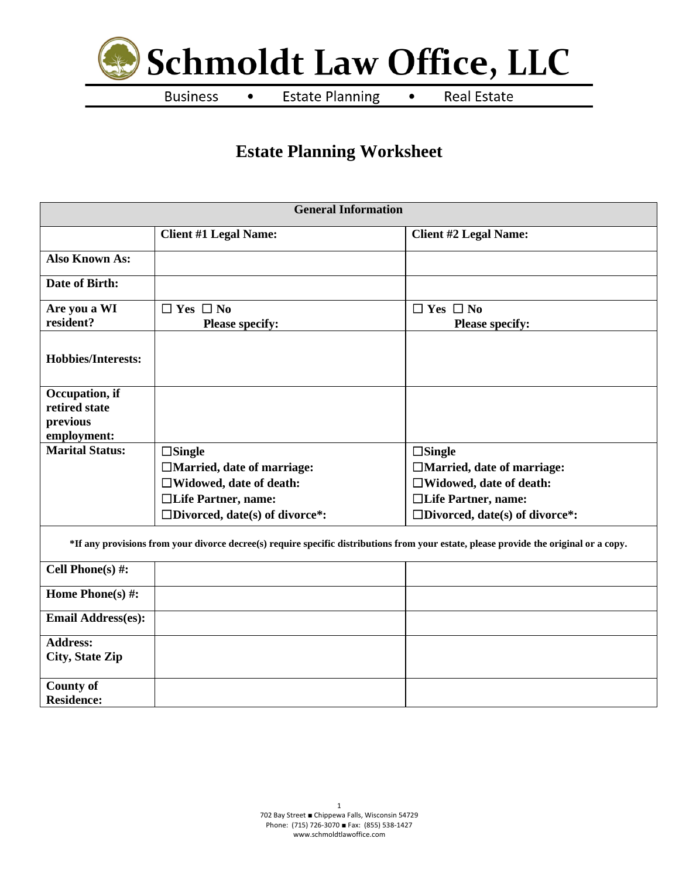

**Business**  $\bullet$ 

**Estate Planning**  $\bullet$  **Real Estate** 

# **Estate Planning Worksheet**

| <b>General Information</b>      |                                          |                                                                                                                                        |  |  |  |  |
|---------------------------------|------------------------------------------|----------------------------------------------------------------------------------------------------------------------------------------|--|--|--|--|
|                                 | <b>Client #1 Legal Name:</b>             | <b>Client #2 Legal Name:</b>                                                                                                           |  |  |  |  |
| <b>Also Known As:</b>           |                                          |                                                                                                                                        |  |  |  |  |
| Date of Birth:                  |                                          |                                                                                                                                        |  |  |  |  |
| Are you a WI                    | $\Box$ Yes $\Box$ No                     | $\Box$ Yes $\Box$ No                                                                                                                   |  |  |  |  |
| resident?                       | <b>Please specify:</b>                   | <b>Please specify:</b>                                                                                                                 |  |  |  |  |
| <b>Hobbies/Interests:</b>       |                                          |                                                                                                                                        |  |  |  |  |
| Occupation, if<br>retired state |                                          |                                                                                                                                        |  |  |  |  |
| previous                        |                                          |                                                                                                                                        |  |  |  |  |
| employment:                     |                                          |                                                                                                                                        |  |  |  |  |
| <b>Marital Status:</b>          | $\square$ Single                         | $\square$ Single                                                                                                                       |  |  |  |  |
|                                 | □Married, date of marriage:              | □Married, date of marriage:                                                                                                            |  |  |  |  |
|                                 | $\Box$ Widowed, date of death:           | $\Box$ Widowed, date of death:                                                                                                         |  |  |  |  |
|                                 | □Life Partner, name:                     | □Life Partner, name:                                                                                                                   |  |  |  |  |
|                                 | $\square$ Divorced, date(s) of divorce*: | $\square$ Divorced, date(s) of divorce*:                                                                                               |  |  |  |  |
|                                 |                                          | *If any provisions from your divorce decree(s) require specific distributions from your estate, please provide the original or a copy. |  |  |  |  |
| Cell Phone(s) $#$ :             |                                          |                                                                                                                                        |  |  |  |  |
| Home Phone(s) #:                |                                          |                                                                                                                                        |  |  |  |  |
| <b>Email Address(es):</b>       |                                          |                                                                                                                                        |  |  |  |  |
| <b>Address:</b>                 |                                          |                                                                                                                                        |  |  |  |  |
| <b>City, State Zip</b>          |                                          |                                                                                                                                        |  |  |  |  |
| <b>County of</b>                |                                          |                                                                                                                                        |  |  |  |  |
| <b>Residence:</b>               |                                          |                                                                                                                                        |  |  |  |  |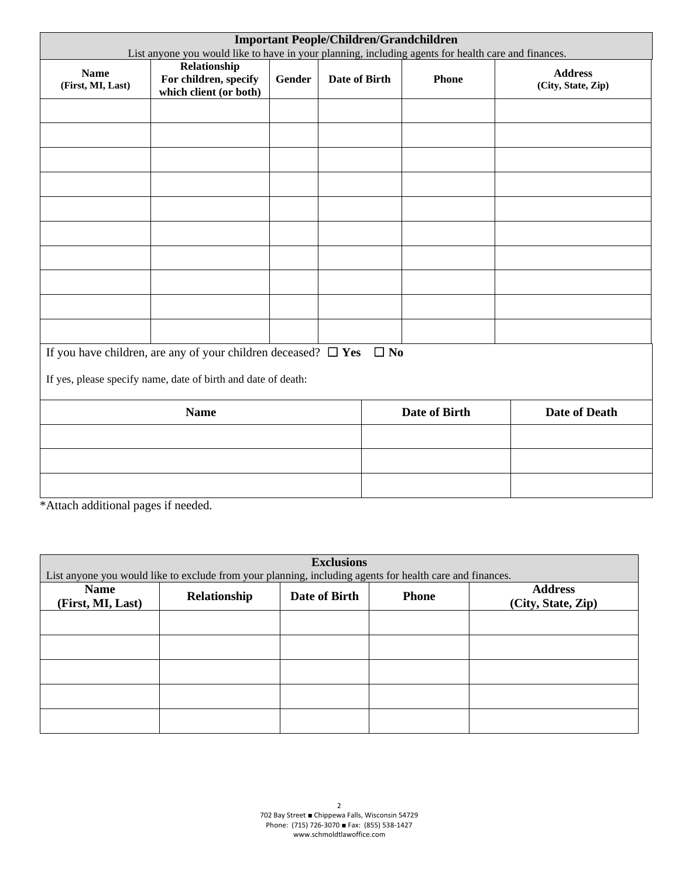| <b>Important People/Children/Grandchildren</b><br>List anyone you would like to have in your planning, including agents for health care and finances. |                                                                     |        |               |                      |                                      |  |
|-------------------------------------------------------------------------------------------------------------------------------------------------------|---------------------------------------------------------------------|--------|---------------|----------------------|--------------------------------------|--|
| <b>Name</b><br>(First, MI, Last)                                                                                                                      | Relationship<br>For children, specify<br>which client (or both)     | Gender | Date of Birth | <b>Phone</b>         | <b>Address</b><br>(City, State, Zip) |  |
|                                                                                                                                                       |                                                                     |        |               |                      |                                      |  |
|                                                                                                                                                       |                                                                     |        |               |                      |                                      |  |
|                                                                                                                                                       |                                                                     |        |               |                      |                                      |  |
|                                                                                                                                                       |                                                                     |        |               |                      |                                      |  |
|                                                                                                                                                       |                                                                     |        |               |                      |                                      |  |
|                                                                                                                                                       |                                                                     |        |               |                      |                                      |  |
|                                                                                                                                                       |                                                                     |        |               |                      |                                      |  |
|                                                                                                                                                       |                                                                     |        |               |                      |                                      |  |
|                                                                                                                                                       |                                                                     |        |               |                      |                                      |  |
|                                                                                                                                                       |                                                                     |        |               |                      |                                      |  |
|                                                                                                                                                       | If you have children, are any of your children deceased? $\Box$ Yes |        |               | $\Box$ No            |                                      |  |
|                                                                                                                                                       | If yes, please specify name, date of birth and date of death:       |        |               |                      |                                      |  |
|                                                                                                                                                       | <b>Name</b>                                                         |        |               | <b>Date of Birth</b> | <b>Date of Death</b>                 |  |
|                                                                                                                                                       |                                                                     |        |               |                      |                                      |  |
|                                                                                                                                                       |                                                                     |        |               |                      |                                      |  |
|                                                                                                                                                       |                                                                     |        |               |                      |                                      |  |
| *Attach additional pages if needed.                                                                                                                   |                                                                     |        |               |                      |                                      |  |

| <b>Exclusions</b>                |                                                                                                          |               |              |                                      |  |
|----------------------------------|----------------------------------------------------------------------------------------------------------|---------------|--------------|--------------------------------------|--|
|                                  | List anyone you would like to exclude from your planning, including agents for health care and finances. |               |              |                                      |  |
| <b>Name</b><br>(First, MI, Last) | Relationship                                                                                             | Date of Birth | <b>Phone</b> | <b>Address</b><br>(City, State, Zip) |  |
|                                  |                                                                                                          |               |              |                                      |  |
|                                  |                                                                                                          |               |              |                                      |  |
|                                  |                                                                                                          |               |              |                                      |  |
|                                  |                                                                                                          |               |              |                                      |  |
|                                  |                                                                                                          |               |              |                                      |  |
|                                  |                                                                                                          |               |              |                                      |  |
|                                  |                                                                                                          |               |              |                                      |  |
|                                  |                                                                                                          |               |              |                                      |  |
|                                  |                                                                                                          |               |              |                                      |  |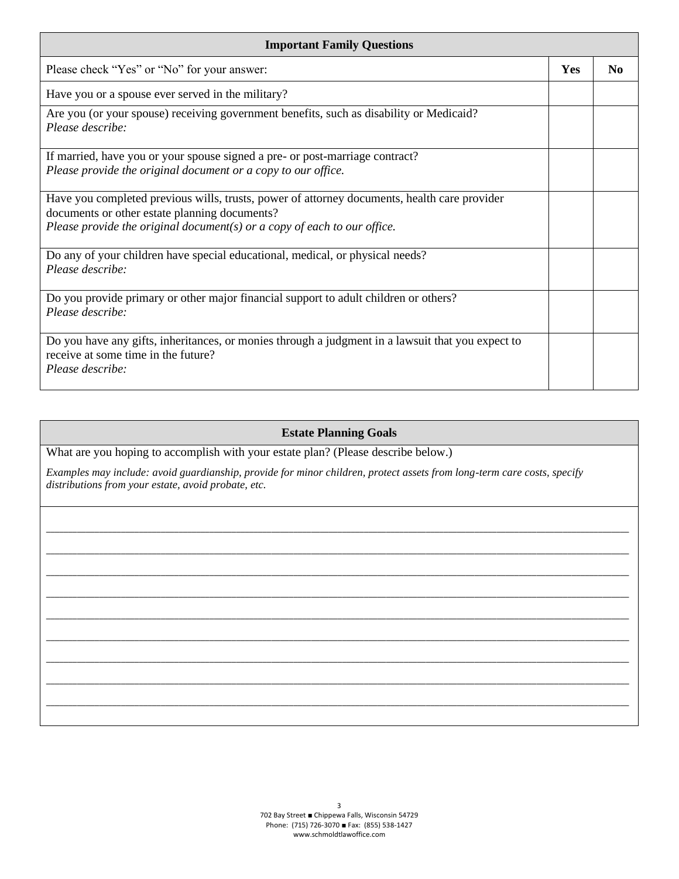| <b>Important Family Questions</b>                                                                                                                                                                                             |     |                |  |  |
|-------------------------------------------------------------------------------------------------------------------------------------------------------------------------------------------------------------------------------|-----|----------------|--|--|
| Please check "Yes" or "No" for your answer:                                                                                                                                                                                   | Yes | N <sub>0</sub> |  |  |
| Have you or a spouse ever served in the military?                                                                                                                                                                             |     |                |  |  |
| Are you (or your spouse) receiving government benefits, such as disability or Medicaid?<br>Please describe:                                                                                                                   |     |                |  |  |
| If married, have you or your spouse signed a pre- or post-marriage contract?<br>Please provide the original document or a copy to our office.                                                                                 |     |                |  |  |
| Have you completed previous wills, trusts, power of attorney documents, health care provider<br>documents or other estate planning documents?<br>Please provide the original document( $s$ ) or a copy of each to our office. |     |                |  |  |
| Do any of your children have special educational, medical, or physical needs?<br>Please describe:                                                                                                                             |     |                |  |  |
| Do you provide primary or other major financial support to adult children or others?<br>Please describe:                                                                                                                      |     |                |  |  |
| Do you have any gifts, inheritances, or monies through a judgment in a lawsuit that you expect to<br>receive at some time in the future?<br>Please describe:                                                                  |     |                |  |  |

# **Estate Planning Goals**

\_\_\_\_\_\_\_\_\_\_\_\_\_\_\_\_\_\_\_\_\_\_\_\_\_\_\_\_\_\_\_\_\_\_\_\_\_\_\_\_\_\_\_\_\_\_\_\_\_\_\_\_\_\_\_\_\_\_\_\_\_\_\_\_\_\_\_\_\_\_\_\_\_\_\_\_\_\_\_\_\_\_\_\_\_\_\_\_\_\_\_\_\_\_\_\_\_\_\_\_\_\_\_\_\_\_\_\_\_\_\_\_\_\_\_\_\_\_\_\_\_\_\_\_\_\_\_\_\_\_\_\_ \_\_\_\_\_\_\_\_\_\_\_\_\_\_\_\_\_\_\_\_\_\_\_\_\_\_\_\_\_\_\_\_\_\_\_\_\_\_\_\_\_\_\_\_\_\_\_\_\_\_\_\_\_\_\_\_\_\_\_\_\_\_\_\_\_\_\_\_\_\_\_\_\_\_\_\_\_\_\_\_\_\_\_\_\_\_\_\_\_\_\_\_\_\_\_\_\_\_\_\_\_\_\_\_\_\_\_\_\_\_\_\_\_\_\_\_\_\_\_\_\_\_\_\_\_\_\_\_\_\_\_\_ \_\_\_\_\_\_\_\_\_\_\_\_\_\_\_\_\_\_\_\_\_\_\_\_\_\_\_\_\_\_\_\_\_\_\_\_\_\_\_\_\_\_\_\_\_\_\_\_\_\_\_\_\_\_\_\_\_\_\_\_\_\_\_\_\_\_\_\_\_\_\_\_\_\_\_\_\_\_\_\_\_\_\_\_\_\_\_\_\_\_\_\_\_\_\_\_\_\_\_\_\_\_\_\_\_\_\_\_\_\_\_\_\_\_\_\_\_\_\_\_\_\_\_\_\_\_\_\_\_\_\_\_ \_\_\_\_\_\_\_\_\_\_\_\_\_\_\_\_\_\_\_\_\_\_\_\_\_\_\_\_\_\_\_\_\_\_\_\_\_\_\_\_\_\_\_\_\_\_\_\_\_\_\_\_\_\_\_\_\_\_\_\_\_\_\_\_\_\_\_\_\_\_\_\_\_\_\_\_\_\_\_\_\_\_\_\_\_\_\_\_\_\_\_\_\_\_\_\_\_\_\_\_\_\_\_\_\_\_\_\_\_\_\_\_\_\_\_\_\_\_\_\_\_\_\_\_\_\_\_\_\_\_\_\_ \_\_\_\_\_\_\_\_\_\_\_\_\_\_\_\_\_\_\_\_\_\_\_\_\_\_\_\_\_\_\_\_\_\_\_\_\_\_\_\_\_\_\_\_\_\_\_\_\_\_\_\_\_\_\_\_\_\_\_\_\_\_\_\_\_\_\_\_\_\_\_\_\_\_\_\_\_\_\_\_\_\_\_\_\_\_\_\_\_\_\_\_\_\_\_\_\_\_\_\_\_\_\_\_\_\_\_\_\_\_\_\_\_\_\_\_\_\_\_\_\_\_\_\_\_\_\_\_\_\_\_\_ \_\_\_\_\_\_\_\_\_\_\_\_\_\_\_\_\_\_\_\_\_\_\_\_\_\_\_\_\_\_\_\_\_\_\_\_\_\_\_\_\_\_\_\_\_\_\_\_\_\_\_\_\_\_\_\_\_\_\_\_\_\_\_\_\_\_\_\_\_\_\_\_\_\_\_\_\_\_\_\_\_\_\_\_\_\_\_\_\_\_\_\_\_\_\_\_\_\_\_\_\_\_\_\_\_\_\_\_\_\_\_\_\_\_\_\_\_\_\_\_\_\_\_\_\_\_\_\_\_\_\_\_ \_\_\_\_\_\_\_\_\_\_\_\_\_\_\_\_\_\_\_\_\_\_\_\_\_\_\_\_\_\_\_\_\_\_\_\_\_\_\_\_\_\_\_\_\_\_\_\_\_\_\_\_\_\_\_\_\_\_\_\_\_\_\_\_\_\_\_\_\_\_\_\_\_\_\_\_\_\_\_\_\_\_\_\_\_\_\_\_\_\_\_\_\_\_\_\_\_\_\_\_\_\_\_\_\_\_\_\_\_\_\_\_\_\_\_\_\_\_\_\_\_\_\_\_\_\_\_\_\_\_\_\_ \_\_\_\_\_\_\_\_\_\_\_\_\_\_\_\_\_\_\_\_\_\_\_\_\_\_\_\_\_\_\_\_\_\_\_\_\_\_\_\_\_\_\_\_\_\_\_\_\_\_\_\_\_\_\_\_\_\_\_\_\_\_\_\_\_\_\_\_\_\_\_\_\_\_\_\_\_\_\_\_\_\_\_\_\_\_\_\_\_\_\_\_\_\_\_\_\_\_\_\_\_\_\_\_\_\_\_\_\_\_\_\_\_\_\_\_\_\_\_\_\_\_\_\_\_\_\_\_\_\_\_\_ \_\_\_\_\_\_\_\_\_\_\_\_\_\_\_\_\_\_\_\_\_\_\_\_\_\_\_\_\_\_\_\_\_\_\_\_\_\_\_\_\_\_\_\_\_\_\_\_\_\_\_\_\_\_\_\_\_\_\_\_\_\_\_\_\_\_\_\_\_\_\_\_\_\_\_\_\_\_\_\_\_\_\_\_\_\_\_\_\_\_\_\_\_\_\_\_\_\_\_\_\_\_\_\_\_\_\_\_\_\_\_\_\_\_\_\_\_\_\_\_\_\_\_\_\_\_\_\_\_\_\_\_

What are you hoping to accomplish with your estate plan? (Please describe below.)

*Examples may include: avoid guardianship, provide for minor children, protect assets from long-term care costs, specify distributions from your estate, avoid probate, etc.*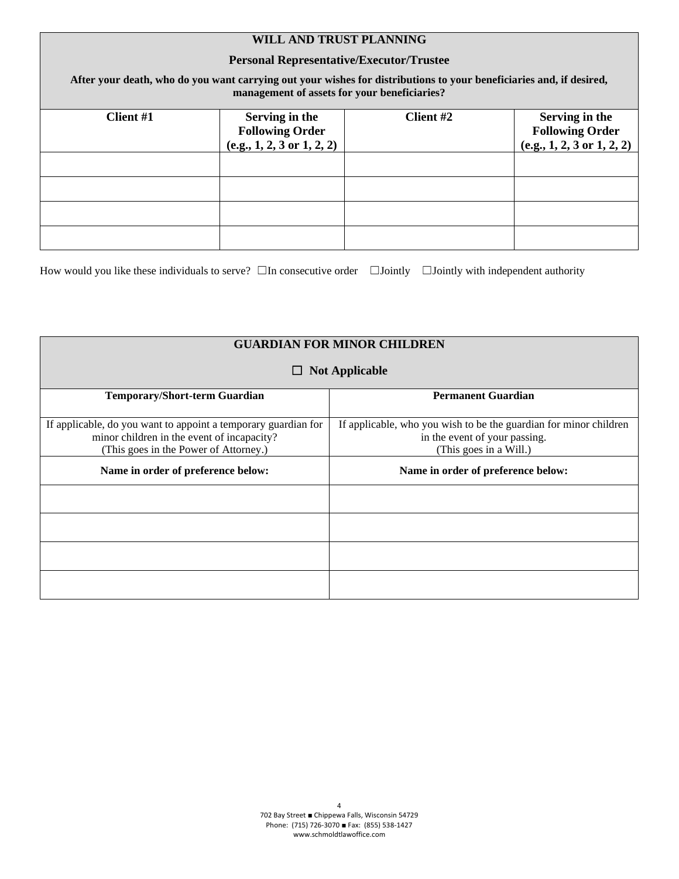# **WILL AND TRUST PLANNING**

### **Personal Representative/Executor/Trustee**

**After your death, who do you want carrying out your wishes for distributions to your beneficiaries and, if desired, management of assets for your beneficiaries?**

| Client #1 | Serving in the                        | Client #2 | Serving in the                                       |
|-----------|---------------------------------------|-----------|------------------------------------------------------|
|           | <b>Following Order</b>                |           |                                                      |
|           |                                       |           |                                                      |
|           | $(e.g., 1, 2, 3 \text{ or } 1, 2, 2)$ |           | <b>Following Order</b><br>(e.g., 1, 2, 3 or 1, 2, 2) |
|           |                                       |           |                                                      |
|           |                                       |           |                                                      |
|           |                                       |           |                                                      |
|           |                                       |           |                                                      |
|           |                                       |           |                                                      |
|           |                                       |           |                                                      |
|           |                                       |           |                                                      |
|           |                                       |           |                                                      |

How would you like these individuals to serve? □In consecutive order □Jointly □Jointly with independent authority

| <b>GUARDIAN FOR MINOR CHILDREN</b>                                                                                                                    |                                                                                                                              |  |  |  |
|-------------------------------------------------------------------------------------------------------------------------------------------------------|------------------------------------------------------------------------------------------------------------------------------|--|--|--|
| <b>Not Applicable</b><br>ப                                                                                                                            |                                                                                                                              |  |  |  |
| <b>Temporary/Short-term Guardian</b>                                                                                                                  | <b>Permanent Guardian</b>                                                                                                    |  |  |  |
| If applicable, do you want to appoint a temporary guardian for<br>minor children in the event of incapacity?<br>(This goes in the Power of Attorney.) | If applicable, who you wish to be the guardian for minor children<br>in the event of your passing.<br>(This goes in a Will.) |  |  |  |
| Name in order of preference below:                                                                                                                    | Name in order of preference below:                                                                                           |  |  |  |
|                                                                                                                                                       |                                                                                                                              |  |  |  |
|                                                                                                                                                       |                                                                                                                              |  |  |  |
|                                                                                                                                                       |                                                                                                                              |  |  |  |
|                                                                                                                                                       |                                                                                                                              |  |  |  |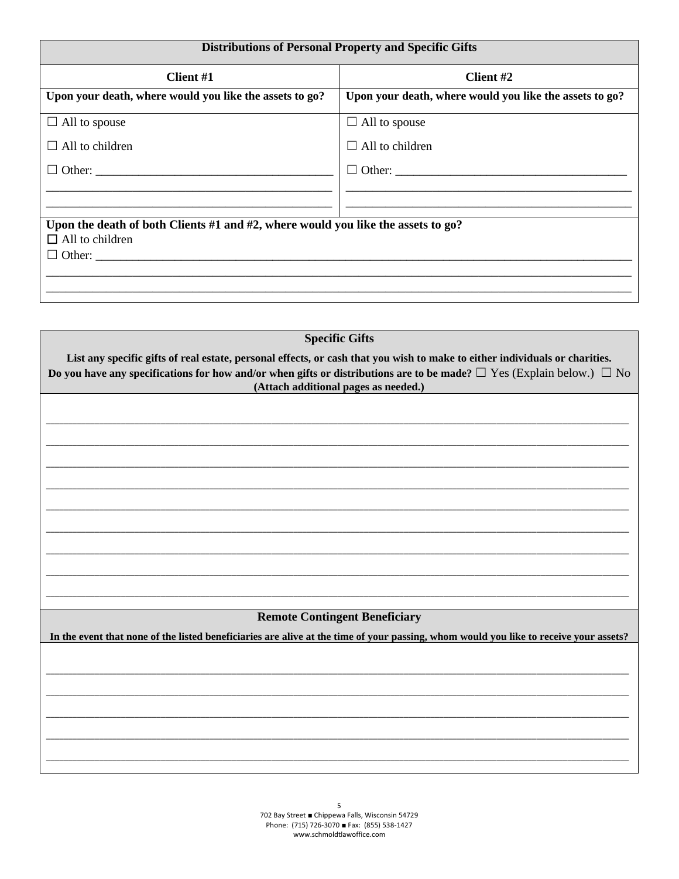| <b>Distributions of Personal Property and Specific Gifts</b>                         |
|--------------------------------------------------------------------------------------|
| Client #2                                                                            |
| Upon your death, where would you like the assets to go?                              |
| $\Box$ All to spouse                                                                 |
| $\Box$ All to children                                                               |
|                                                                                      |
|                                                                                      |
| Upon the death of both Clients #1 and #2, where would you like the assets to $g_0$ ? |
|                                                                                      |
|                                                                                      |

| <b>Specific Gifts</b>                                                                                                                                                                                                                                                                                  |  |  |  |  |
|--------------------------------------------------------------------------------------------------------------------------------------------------------------------------------------------------------------------------------------------------------------------------------------------------------|--|--|--|--|
| List any specific gifts of real estate, personal effects, or cash that you wish to make to either individuals or charities.<br>Do you have any specifications for how and/or when gifts or distributions are to be made? $\Box$ Yes (Explain below.) $\Box$ No<br>(Attach additional pages as needed.) |  |  |  |  |
|                                                                                                                                                                                                                                                                                                        |  |  |  |  |
|                                                                                                                                                                                                                                                                                                        |  |  |  |  |
|                                                                                                                                                                                                                                                                                                        |  |  |  |  |
|                                                                                                                                                                                                                                                                                                        |  |  |  |  |
|                                                                                                                                                                                                                                                                                                        |  |  |  |  |
|                                                                                                                                                                                                                                                                                                        |  |  |  |  |
| <b>Remote Contingent Beneficiary</b><br>In the event that none of the listed beneficiaries are alive at the time of your passing, whom would you like to receive your assets?                                                                                                                          |  |  |  |  |
|                                                                                                                                                                                                                                                                                                        |  |  |  |  |
|                                                                                                                                                                                                                                                                                                        |  |  |  |  |
|                                                                                                                                                                                                                                                                                                        |  |  |  |  |
|                                                                                                                                                                                                                                                                                                        |  |  |  |  |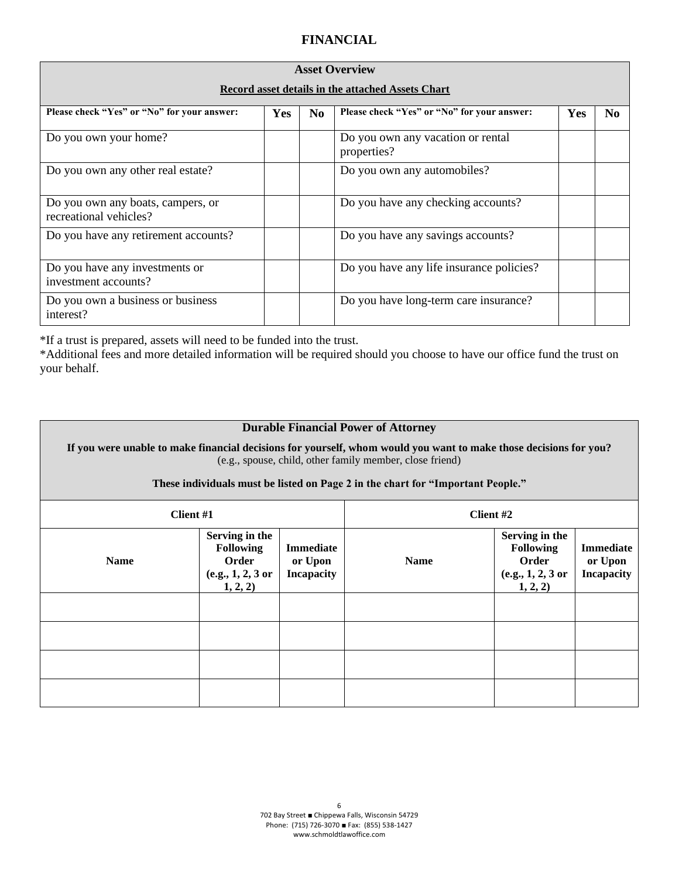# **FINANCIAL**

| <b>Asset Overview</b><br><b>Record asset details in the attached Assets Chart</b> |            |                |                                                  |     |                |  |  |
|-----------------------------------------------------------------------------------|------------|----------------|--------------------------------------------------|-----|----------------|--|--|
| Please check "Yes" or "No" for your answer:                                       | <b>Yes</b> | N <sub>0</sub> | Please check "Yes" or "No" for your answer:      | Yes | N <sub>0</sub> |  |  |
| Do you own your home?                                                             |            |                | Do you own any vacation or rental<br>properties? |     |                |  |  |
| Do you own any other real estate?                                                 |            |                | Do you own any automobiles?                      |     |                |  |  |
| Do you own any boats, campers, or<br>recreational vehicles?                       |            |                | Do you have any checking accounts?               |     |                |  |  |
| Do you have any retirement accounts?                                              |            |                | Do you have any savings accounts?                |     |                |  |  |
| Do you have any investments or<br>investment accounts?                            |            |                | Do you have any life insurance policies?         |     |                |  |  |
| Do you own a business or business<br>interest?                                    |            |                | Do you have long-term care insurance?            |     |                |  |  |

\*If a trust is prepared, assets will need to be funded into the trust.

\*Additional fees and more detailed information will be required should you choose to have our office fund the trust on your behalf.

## **Durable Financial Power of Attorney**

**If you were unable to make financial decisions for yourself, whom would you want to make those decisions for you?**  (e.g., spouse, child, other family member, close friend)

#### **These individuals must be listed on Page 2 in the chart for "Important People."**

| Client #1   |                                                                              |                                                  | Client #2   |                                                                              |                                                  |
|-------------|------------------------------------------------------------------------------|--------------------------------------------------|-------------|------------------------------------------------------------------------------|--------------------------------------------------|
| <b>Name</b> | Serving in the<br><b>Following</b><br>Order<br>(e.g., 1, 2, 3 or<br>1, 2, 2) | <b>Immediate</b><br>or Upon<br><b>Incapacity</b> | <b>Name</b> | Serving in the<br><b>Following</b><br>Order<br>(e.g., 1, 2, 3 or<br>1, 2, 2) | <b>Immediate</b><br>or Upon<br><b>Incapacity</b> |
|             |                                                                              |                                                  |             |                                                                              |                                                  |
|             |                                                                              |                                                  |             |                                                                              |                                                  |
|             |                                                                              |                                                  |             |                                                                              |                                                  |
|             |                                                                              |                                                  |             |                                                                              |                                                  |

6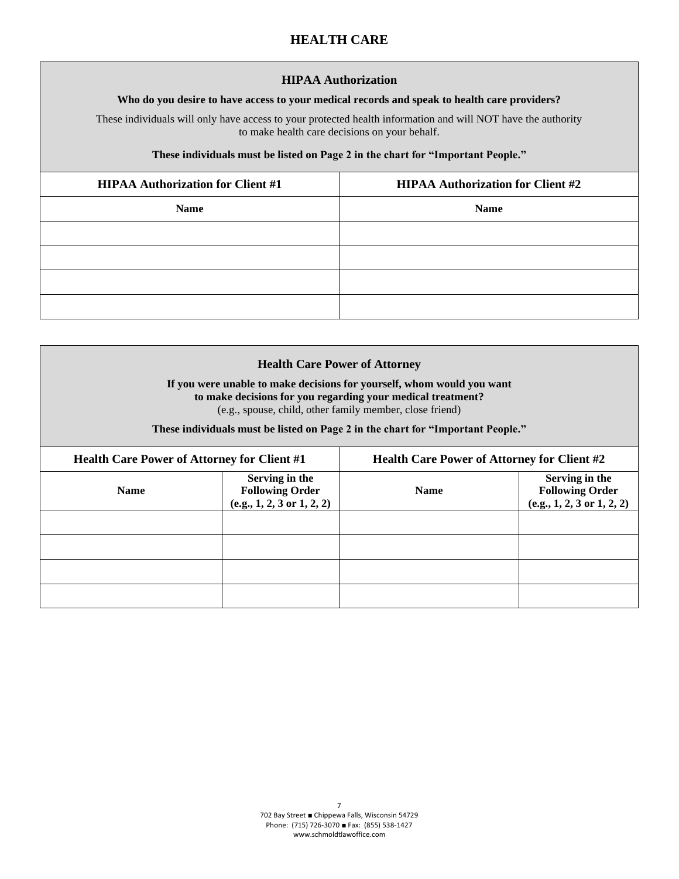# **HEALTH CARE**

#### **HIPAA Authorization**

#### **Who do you desire to have access to your medical records and speak to health care providers?**

These individuals will only have access to your protected health information and will NOT have the authority to make health care decisions on your behalf.

#### **These individuals must be listed on Page 2 in the chart for "Important People."**

| <b>HIPAA Authorization for Client #1</b> | <b>HIPAA Authorization for Client #2</b> |  |
|------------------------------------------|------------------------------------------|--|
| <b>Name</b>                              | <b>Name</b>                              |  |
|                                          |                                          |  |
|                                          |                                          |  |
|                                          |                                          |  |
|                                          |                                          |  |

| <b>Health Care Power of Attorney</b><br>If you were unable to make decisions for yourself, whom would you want<br>to make decisions for you regarding your medical treatment?<br>(e.g., spouse, child, other family member, close friend)<br>These individuals must be listed on Page 2 in the chart for "Important People." |                                                                                   |  |                                                                                   |  |
|------------------------------------------------------------------------------------------------------------------------------------------------------------------------------------------------------------------------------------------------------------------------------------------------------------------------------|-----------------------------------------------------------------------------------|--|-----------------------------------------------------------------------------------|--|
| <b>Health Care Power of Attorney for Client #1</b>                                                                                                                                                                                                                                                                           |                                                                                   |  | <b>Health Care Power of Attorney for Client #2</b>                                |  |
| <b>Name</b>                                                                                                                                                                                                                                                                                                                  | Serving in the<br><b>Following Order</b><br>$(e.g., 1, 2, 3 \text{ or } 1, 2, 2)$ |  | Serving in the<br><b>Following Order</b><br>$(e.g., 1, 2, 3 \text{ or } 1, 2, 2)$ |  |
|                                                                                                                                                                                                                                                                                                                              |                                                                                   |  |                                                                                   |  |
|                                                                                                                                                                                                                                                                                                                              |                                                                                   |  |                                                                                   |  |
|                                                                                                                                                                                                                                                                                                                              |                                                                                   |  |                                                                                   |  |
|                                                                                                                                                                                                                                                                                                                              |                                                                                   |  |                                                                                   |  |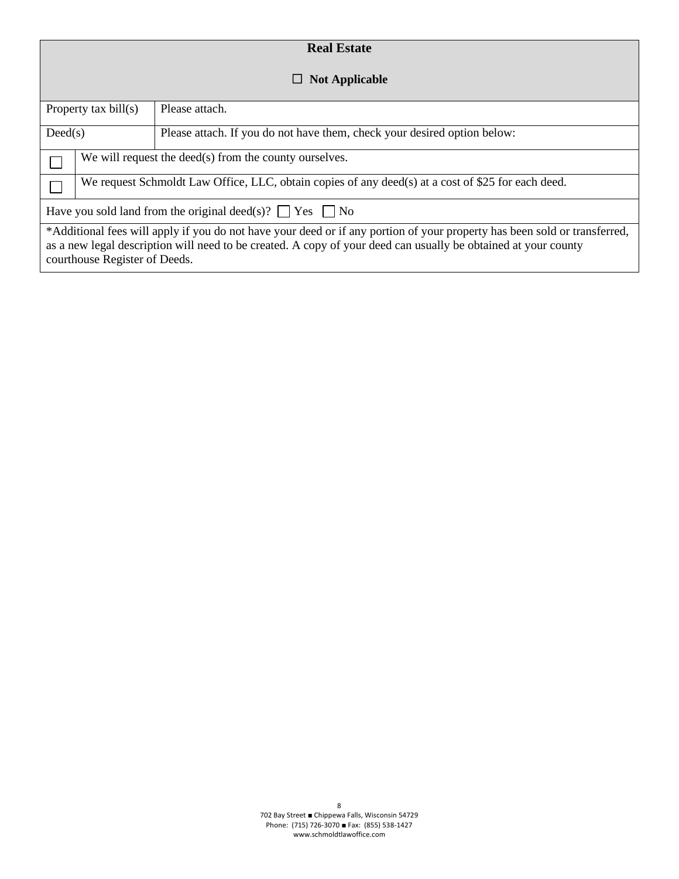| <b>Real Estate</b>                                                                                                                                                                                                                                                           |                                                                                                    |                                                                          |  |  |  |  |  |  |
|------------------------------------------------------------------------------------------------------------------------------------------------------------------------------------------------------------------------------------------------------------------------------|----------------------------------------------------------------------------------------------------|--------------------------------------------------------------------------|--|--|--|--|--|--|
| <b>Not Applicable</b><br>$\mathsf{L}$                                                                                                                                                                                                                                        |                                                                                                    |                                                                          |  |  |  |  |  |  |
| Property tax bill(s)                                                                                                                                                                                                                                                         |                                                                                                    | Please attach.                                                           |  |  |  |  |  |  |
| Dead(s)                                                                                                                                                                                                                                                                      |                                                                                                    | Please attach. If you do not have them, check your desired option below: |  |  |  |  |  |  |
|                                                                                                                                                                                                                                                                              | We will request the deed(s) from the county ourselves.                                             |                                                                          |  |  |  |  |  |  |
|                                                                                                                                                                                                                                                                              | We request Schmoldt Law Office, LLC, obtain copies of any deed(s) at a cost of \$25 for each deed. |                                                                          |  |  |  |  |  |  |
| Have you sold land from the original deed(s)? $\Box$ Yes $\Box$ No                                                                                                                                                                                                           |                                                                                                    |                                                                          |  |  |  |  |  |  |
| *Additional fees will apply if you do not have your deed or if any portion of your property has been sold or transferred,<br>as a new legal description will need to be created. A copy of your deed can usually be obtained at your county<br>courthouse Register of Deeds. |                                                                                                    |                                                                          |  |  |  |  |  |  |

8